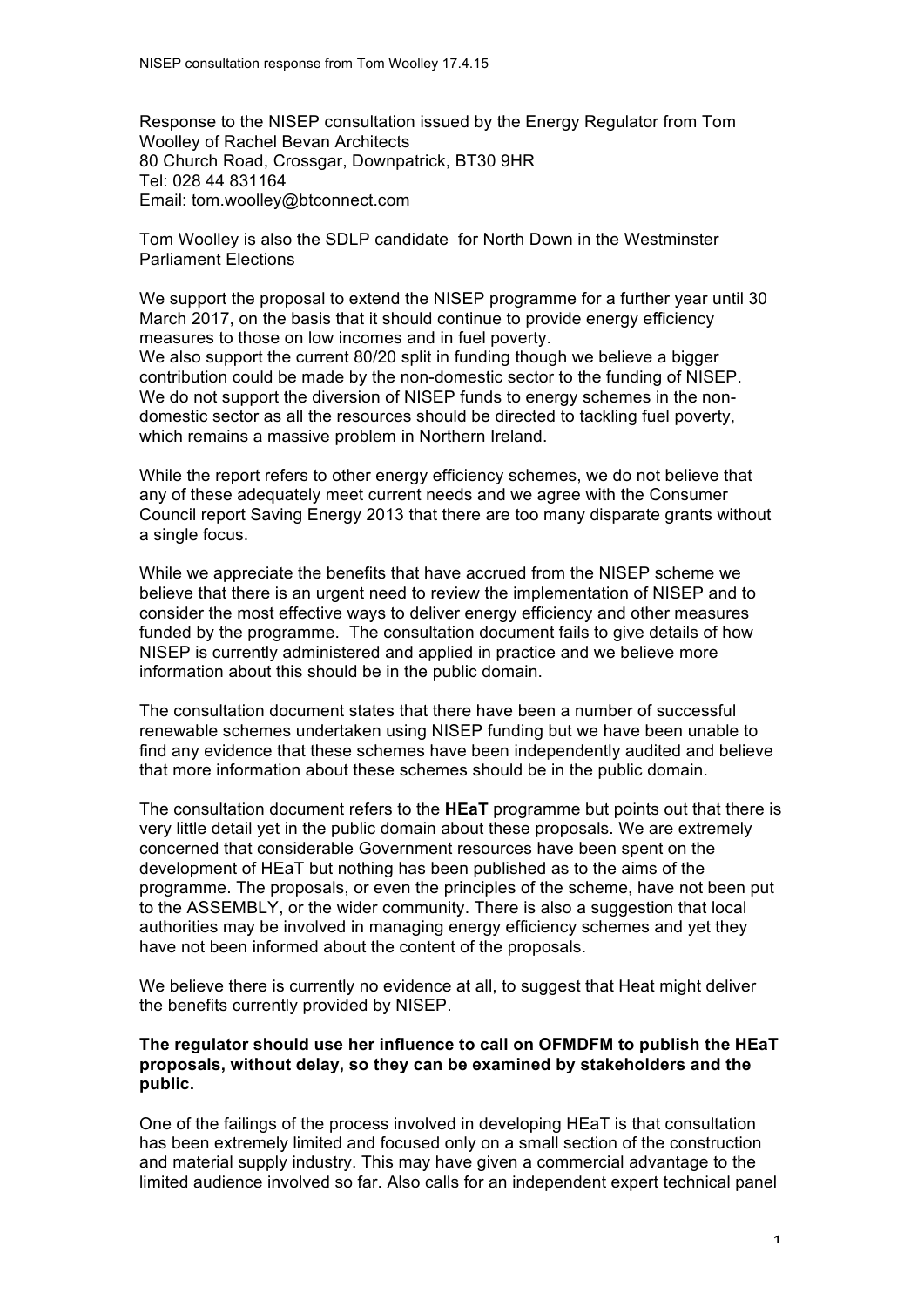Response to the NISEP consultation issued by the Energy Regulator from Tom Woolley of Rachel Bevan Architects 80 Church Road, Crossgar, Downpatrick, BT30 9HR Tel: 028 44 831164 Email: tom.woolley@btconnect.com

Tom Woolley is also the SDLP candidate for North Down in the Westminster Parliament Elections

We support the proposal to extend the NISEP programme for a further year until 30 March 2017, on the basis that it should continue to provide energy efficiency measures to those on low incomes and in fuel poverty. We also support the current 80/20 split in funding though we believe a bigger contribution could be made by the non-domestic sector to the funding of NISEP. We do not support the diversion of NISEP funds to energy schemes in the nondomestic sector as all the resources should be directed to tackling fuel poverty, which remains a massive problem in Northern Ireland.

While the report refers to other energy efficiency schemes, we do not believe that any of these adequately meet current needs and we agree with the Consumer Council report Saving Energy 2013 that there are too many disparate grants without a single focus.

While we appreciate the benefits that have accrued from the NISEP scheme we believe that there is an urgent need to review the implementation of NISEP and to consider the most effective ways to deliver energy efficiency and other measures funded by the programme. The consultation document fails to give details of how NISEP is currently administered and applied in practice and we believe more information about this should be in the public domain.

The consultation document states that there have been a number of successful renewable schemes undertaken using NISEP funding but we have been unable to find any evidence that these schemes have been independently audited and believe that more information about these schemes should be in the public domain.

The consultation document refers to the **HEaT** programme but points out that there is very little detail yet in the public domain about these proposals. We are extremely concerned that considerable Government resources have been spent on the development of HEaT but nothing has been published as to the aims of the programme. The proposals, or even the principles of the scheme, have not been put to the ASSEMBLY, or the wider community. There is also a suggestion that local authorities may be involved in managing energy efficiency schemes and yet they have not been informed about the content of the proposals.

We believe there is currently no evidence at all, to suggest that Heat might deliver the benefits currently provided by NISEP.

## **The regulator should use her influence to call on OFMDFM to publish the HEaT proposals, without delay, so they can be examined by stakeholders and the public.**

One of the failings of the process involved in developing HEaT is that consultation has been extremely limited and focused only on a small section of the construction and material supply industry. This may have given a commercial advantage to the limited audience involved so far. Also calls for an independent expert technical panel